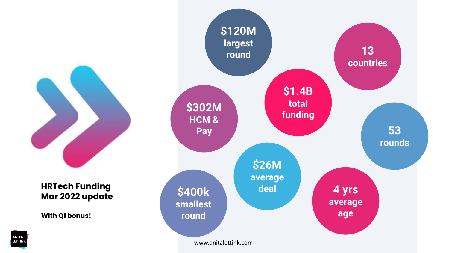

## **HRTech Funding Mar 2022 update**

**With Q1 bonus!**

**ANITA** LETTINK

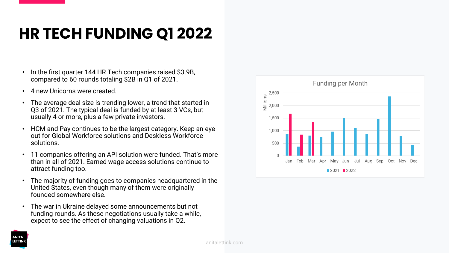## **HR TECH FUNDING Q1 2022**

- In the first quarter 144 HR Tech companies raised \$3.9B, compared to 60 rounds totaling \$2B in Q1 of 2021.
- 4 new Unicorns were created.
- The average deal size is trending lower, a trend that started in Q3 of 2021. The typical deal is funded by at least 3 VCs, but usually 4 or more, plus a few private investors.
- HCM and Pay continues to be the largest category. Keep an eye out for Global Workforce solutions and Deskless Workforce solutions.
- 11 companies offering an API solution were funded. That's more than in all of 2021. Earned wage access solutions continue to attract funding too.
- The majority of funding goes to companies headquartered in the United States, even though many of them were originally founded somewhere else.
- The war in Ukraine delayed some announcements but not funding rounds. As these negotiations usually take a while, expect to see the effect of changing valuations in Q2.